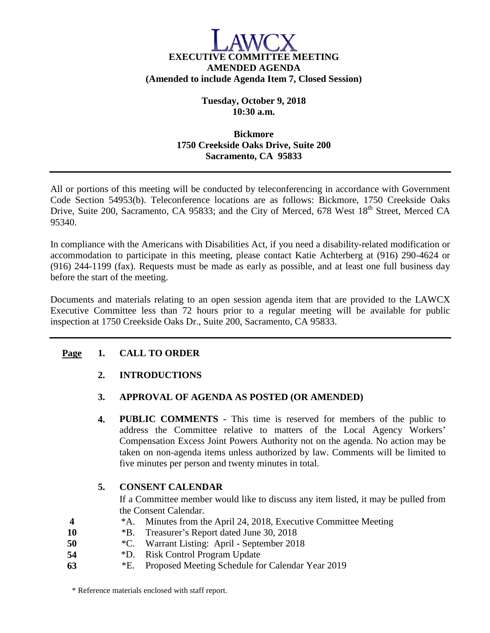# **EXECUTIVE COMMITTEE MEETING AMENDED AGENDA (Amended to include Agenda Item 7, Closed Session)**

**Tuesday, October 9, 2018 10:30 a.m.**

## **Bickmore 1750 Creekside Oaks Drive, Suite 200 Sacramento, CA 95833**

All or portions of this meeting will be conducted by teleconferencing in accordance with Government Code Section 54953(b). Teleconference locations are as follows: Bickmore, 1750 Creekside Oaks Drive, Suite 200, Sacramento, CA 95833; and the City of Merced, 678 West 18<sup>th</sup> Street, Merced CA 95340.

In compliance with the Americans with Disabilities Act, if you need a disability-related modification or accommodation to participate in this meeting, please contact Katie Achterberg at (916) 290-4624 or (916) 244-1199 (fax). Requests must be made as early as possible, and at least one full business day before the start of the meeting.

Documents and materials relating to an open session agenda item that are provided to the LAWCX Executive Committee less than 72 hours prior to a regular meeting will be available for public inspection at 1750 Creekside Oaks Dr., Suite 200, Sacramento, CA 95833.

## **Page 1. CALL TO ORDER**

# **2. INTRODUCTIONS**

## **3. APPROVAL OF AGENDA AS POSTED (OR AMENDED)**

**4. PUBLIC COMMENTS** - This time is reserved for members of the public to address the Committee relative to matters of the Local Agency Workers' Compensation Excess Joint Powers Authority not on the agenda. No action may be taken on non-agenda items unless authorized by law. Comments will be limited to five minutes per person and twenty minutes in total.

## **5. CONSENT CALENDAR**

If a Committee member would like to discuss any item listed, it may be pulled from the Consent Calendar.

- **4** \*A. Minutes from the April 24, 2018, Executive Committee Meeting
- **10** \*B. Treasurer's Report dated June 30, 2018
- **50** \*C. Warrant Listing: April September 2018
- **54** \*D. Risk Control Program Update
- **63** \*E. Proposed Meeting Schedule for Calendar Year 2019

\* Reference materials enclosed with staff report.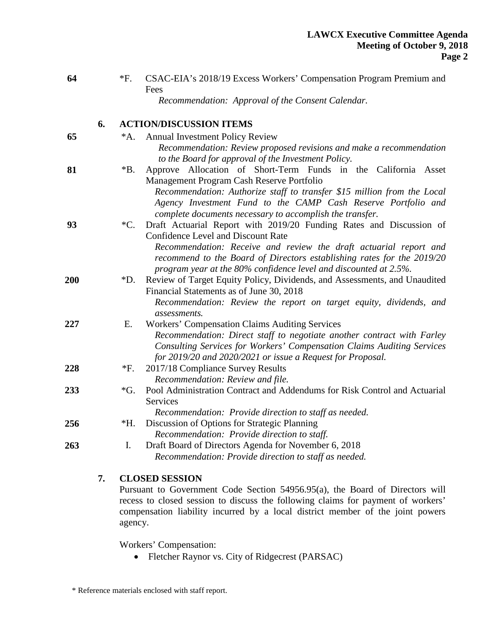**64** \*F. CSAC-EIA's 2018/19 Excess Workers' Compensation Program Premium and Fees

*Recommendation: Approval of the Consent Calendar.*

# **6. ACTION/DISCUSSION ITEMS**

| 65  | $^*A.$          | <b>Annual Investment Policy Review</b>                                                |
|-----|-----------------|---------------------------------------------------------------------------------------|
|     |                 | Recommendation: Review proposed revisions and make a recommendation                   |
|     |                 | to the Board for approval of the Investment Policy.                                   |
| 81  | *B.             | Approve Allocation of Short-Term Funds in the California Asset                        |
|     |                 | Management Program Cash Reserve Portfolio                                             |
|     |                 | Recommendation: Authorize staff to transfer \$15 million from the Local               |
|     |                 | Agency Investment Fund to the CAMP Cash Reserve Portfolio and                         |
|     |                 | complete documents necessary to accomplish the transfer.                              |
| 93  | $\rm ^*C.$      | Draft Actuarial Report with 2019/20 Funding Rates and Discussion of                   |
|     |                 | <b>Confidence Level and Discount Rate</b>                                             |
|     |                 | Recommendation: Receive and review the draft actuarial report and                     |
|     |                 | recommend to the Board of Directors establishing rates for the 2019/20                |
|     |                 | program year at the 80% confidence level and discounted at 2.5%.                      |
| 200 | *D.             | Review of Target Equity Policy, Dividends, and Assessments, and Unaudited             |
|     |                 | Financial Statements as of June 30, 2018                                              |
|     |                 | Recommendation: Review the report on target equity, dividends, and                    |
|     |                 | assessments.                                                                          |
| 227 | Ε.              | <b>Workers' Compensation Claims Auditing Services</b>                                 |
|     |                 | Recommendation: Direct staff to negotiate another contract with Farley                |
|     |                 | Consulting Services for Workers' Compensation Claims Auditing Services                |
|     |                 | for 2019/20 and 2020/2021 or issue a Request for Proposal.                            |
| 228 | $*F.$           | 2017/18 Compliance Survey Results                                                     |
|     |                 | Recommendation: Review and file.                                                      |
| 233 | $\mathcal{G}$ . | Pool Administration Contract and Addendums for Risk Control and Actuarial<br>Services |
|     |                 | Recommendation: Provide direction to staff as needed.                                 |
| 256 | *H.             | Discussion of Options for Strategic Planning                                          |
|     |                 | Recommendation: Provide direction to staff.                                           |
| 263 | Ι.              | Draft Board of Directors Agenda for November 6, 2018                                  |
|     |                 | Recommendation: Provide direction to staff as needed.                                 |
|     |                 |                                                                                       |

#### **7. CLOSED SESSION**

Pursuant to Government Code Section 54956.95(a), the Board of Directors will recess to closed session to discuss the following claims for payment of workers' compensation liability incurred by a local district member of the joint powers agency.

Workers' Compensation:

• Fletcher Raynor vs. City of Ridgecrest (PARSAC)